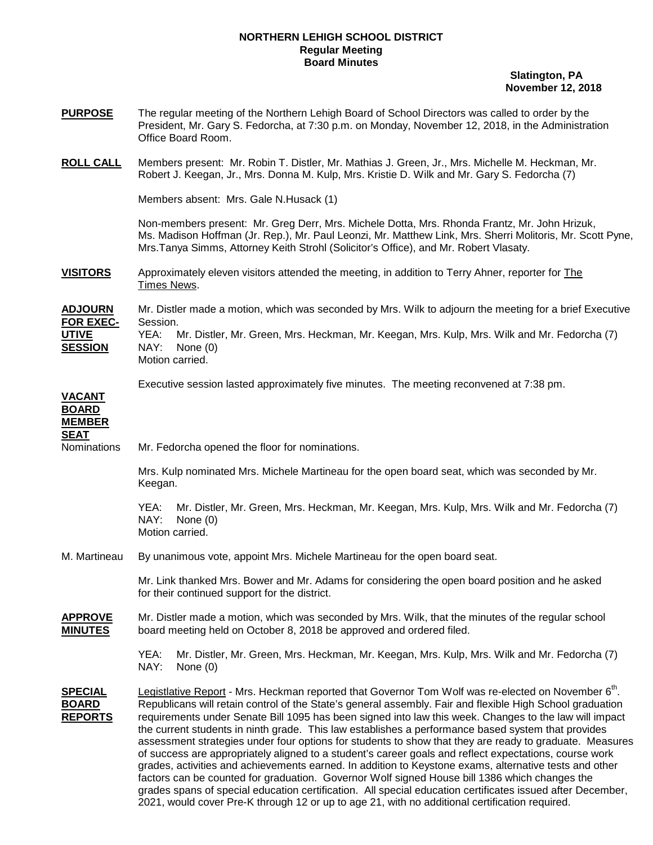## **NORTHERN LEHIGH SCHOOL DISTRICT Regular Meeting Board Minutes**

 **Slatington, PA November 12, 2018** 

**PURPOSE** The regular meeting of the Northern Lehigh Board of School Directors was called to order by the President, Mr. Gary S. Fedorcha, at 7:30 p.m. on Monday, November 12, 2018, in the Administration Office Board Room. **ROLL CALL** Members present: Mr. Robin T. Distler, Mr. Mathias J. Green, Jr., Mrs. Michelle M. Heckman, Mr. Robert J. Keegan, Jr., Mrs. Donna M. Kulp, Mrs. Kristie D. Wilk and Mr. Gary S. Fedorcha (7) Members absent: Mrs. Gale N.Husack (1) Non-members present: Mr. Greg Derr, Mrs. Michele Dotta, Mrs. Rhonda Frantz, Mr. John Hrizuk, Ms. Madison Hoffman (Jr. Rep.), Mr. Paul Leonzi, Mr. Matthew Link, Mrs. Sherri Molitoris, Mr. Scott Pyne, Mrs.Tanya Simms, Attorney Keith Strohl (Solicitor's Office), and Mr. Robert Vlasaty. **VISITORS** Approximately eleven visitors attended the meeting, in addition to Terry Ahner, reporter for The Times News. **ADJOURN** Mr. Distler made a motion, which was seconded by Mrs. Wilk to adjourn the meeting for a brief Executive **FOR EXEC-** Session. **UTIVE** YEA: Mr. Distler, Mr. Green, Mrs. Heckman, Mr. Keegan, Mrs. Kulp, Mrs. Wilk and Mr. Fedorcha (7) **SESSION** NAY: None (0) Motion carried. Executive session lasted approximately five minutes. The meeting reconvened at 7:38 pm. **VACANT BOARD MEMBER SEAT** Nominations Mr. Fedorcha opened the floor for nominations. Mrs. Kulp nominated Mrs. Michele Martineau for the open board seat, which was seconded by Mr. Keegan. YEA: Mr. Distler, Mr. Green, Mrs. Heckman, Mr. Keegan, Mrs. Kulp, Mrs. Wilk and Mr. Fedorcha (7) NAY: None (0) Motion carried. M. Martineau By unanimous vote, appoint Mrs. Michele Martineau for the open board seat. Mr. Link thanked Mrs. Bower and Mr. Adams for considering the open board position and he asked for their continued support for the district. **APPROVE** Mr. Distler made a motion, which was seconded by Mrs. Wilk, that the minutes of the regular school **MINUTES** board meeting held on October 8, 2018 be approved and ordered filed. YEA: Mr. Distler, Mr. Green, Mrs. Heckman, Mr. Keegan, Mrs. Kulp, Mrs. Wilk and Mr. Fedorcha (7) NAY: None (0) SPECIAL Legistlative Report - Mrs. Heckman reported that Governor Tom Wolf was re-elected on November 6<sup>th</sup>. **BOARD** Republicans will retain control of the State's general assembly. Fair and flexible High School graduation **REPORTS** requirements under Senate Bill 1095 has been signed into law this week. Changes to the law will impact the current students in ninth grade. This law establishes a performance based system that provides assessment strategies under four options for students to show that they are ready to graduate. Measures of success are appropriately aligned to a student's career goals and reflect expectations, course work grades, activities and achievements earned. In addition to Keystone exams, alternative tests and other factors can be counted for graduation. Governor Wolf signed House bill 1386 which changes the grades spans of special education certification. All special education certificates issued after December, 2021, would cover Pre-K through 12 or up to age 21, with no additional certification required.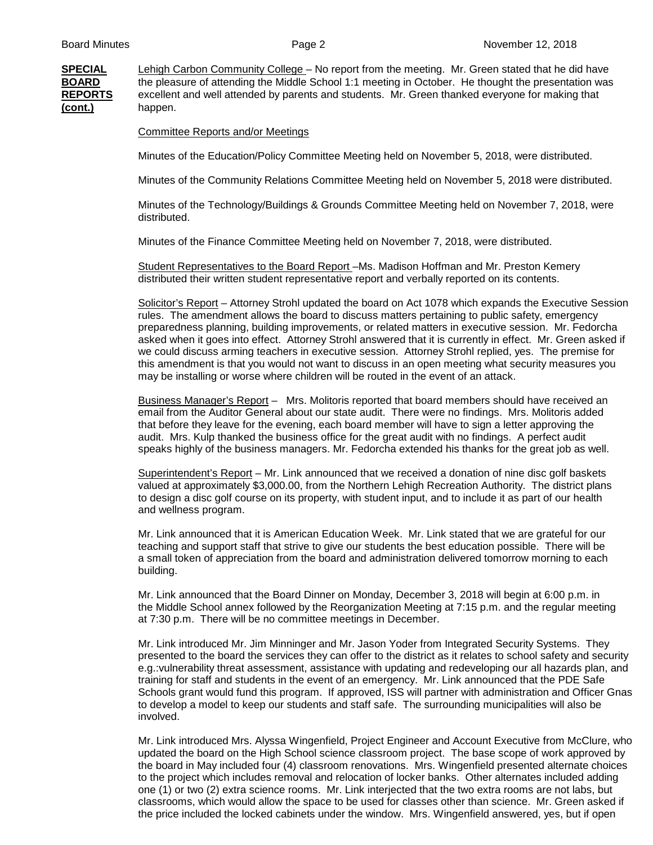**SPECIAL** Lehigh Carbon Community College – No report from the meeting. Mr. Green stated that he did have **BOARD** the pleasure of attending the Middle School 1:1 meeting in October. He thought the presentation was **REPORTS** excellent and well attended by parents and students. Mr. Green thanked everyone for making that **(cont.)** happen.

Committee Reports and/or Meetings

Minutes of the Education/Policy Committee Meeting held on November 5, 2018, were distributed.

Minutes of the Community Relations Committee Meeting held on November 5, 2018 were distributed.

 Minutes of the Technology/Buildings & Grounds Committee Meeting held on November 7, 2018, were distributed.

Minutes of the Finance Committee Meeting held on November 7, 2018, were distributed.

 Student Representatives to the Board Report –Ms. Madison Hoffman and Mr. Preston Kemery distributed their written student representative report and verbally reported on its contents.

 Solicitor's Report – Attorney Strohl updated the board on Act 1078 which expands the Executive Session rules. The amendment allows the board to discuss matters pertaining to public safety, emergency preparedness planning, building improvements, or related matters in executive session. Mr. Fedorcha asked when it goes into effect. Attorney Strohl answered that it is currently in effect. Mr. Green asked if we could discuss arming teachers in executive session. Attorney Strohl replied, yes. The premise for this amendment is that you would not want to discuss in an open meeting what security measures you may be installing or worse where children will be routed in the event of an attack.

Business Manager's Report – Mrs. Molitoris reported that board members should have received an email from the Auditor General about our state audit. There were no findings. Mrs. Molitoris added that before they leave for the evening, each board member will have to sign a letter approving the audit. Mrs. Kulp thanked the business office for the great audit with no findings. A perfect audit speaks highly of the business managers. Mr. Fedorcha extended his thanks for the great job as well.

Superintendent's Report - Mr. Link announced that we received a donation of nine disc golf baskets valued at approximately \$3,000.00, from the Northern Lehigh Recreation Authority. The district plans to design a disc golf course on its property, with student input, and to include it as part of our health and wellness program.

 Mr. Link announced that it is American Education Week. Mr. Link stated that we are grateful for our teaching and support staff that strive to give our students the best education possible. There will be a small token of appreciation from the board and administration delivered tomorrow morning to each building.

Mr. Link announced that the Board Dinner on Monday, December 3, 2018 will begin at 6:00 p.m. in the Middle School annex followed by the Reorganization Meeting at 7:15 p.m. and the regular meeting at 7:30 p.m. There will be no committee meetings in December.

 Mr. Link introduced Mr. Jim Minninger and Mr. Jason Yoder from Integrated Security Systems. They presented to the board the services they can offer to the district as it relates to school safety and security e.g.:vulnerability threat assessment, assistance with updating and redeveloping our all hazards plan, and training for staff and students in the event of an emergency. Mr. Link announced that the PDE Safe Schools grant would fund this program. If approved, ISS will partner with administration and Officer Gnas to develop a model to keep our students and staff safe. The surrounding municipalities will also be involved.

 Mr. Link introduced Mrs. Alyssa Wingenfield, Project Engineer and Account Executive from McClure, who updated the board on the High School science classroom project. The base scope of work approved by the board in May included four (4) classroom renovations. Mrs. Wingenfield presented alternate choices to the project which includes removal and relocation of locker banks. Other alternates included adding one (1) or two (2) extra science rooms. Mr. Link interjected that the two extra rooms are not labs, but classrooms, which would allow the space to be used for classes other than science. Mr. Green asked if the price included the locked cabinets under the window. Mrs. Wingenfield answered, yes, but if open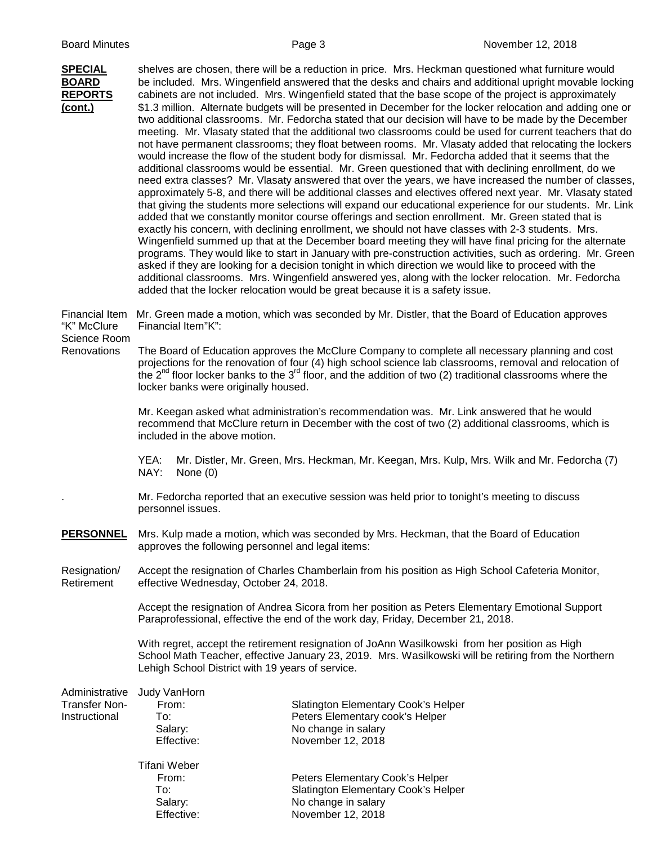| <b>SPECIAL</b><br><b>BOARD</b><br><b>REPORTS</b><br><u>(cont.)</u>  | shelves are chosen, there will be a reduction in price. Mrs. Heckman questioned what furniture would<br>be included. Mrs. Wingenfield answered that the desks and chairs and additional upright movable locking<br>cabinets are not included. Mrs. Wingenfield stated that the base scope of the project is approximately<br>\$1.3 million. Alternate budgets will be presented in December for the locker relocation and adding one or<br>two additional classrooms. Mr. Fedorcha stated that our decision will have to be made by the December<br>meeting. Mr. Vlasaty stated that the additional two classrooms could be used for current teachers that do<br>not have permanent classrooms; they float between rooms. Mr. Vlasaty added that relocating the lockers<br>would increase the flow of the student body for dismissal. Mr. Fedorcha added that it seems that the<br>additional classrooms would be essential. Mr. Green questioned that with declining enrollment, do we<br>need extra classes? Mr. Vlasaty answered that over the years, we have increased the number of classes,<br>approximately 5-8, and there will be additional classes and electives offered next year. Mr. Vlasaty stated<br>that giving the students more selections will expand our educational experience for our students. Mr. Link<br>added that we constantly monitor course offerings and section enrollment. Mr. Green stated that is<br>exactly his concern, with declining enrollment, we should not have classes with 2-3 students. Mrs.<br>Wingenfield summed up that at the December board meeting they will have final pricing for the alternate<br>programs. They would like to start in January with pre-construction activities, such as ordering. Mr. Green<br>asked if they are looking for a decision tonight in which direction we would like to proceed with the<br>additional classrooms. Mrs. Wingenfield answered yes, along with the locker relocation. Mr. Fedorcha<br>added that the locker relocation would be great because it is a safety issue. |                                                                                                                    |  |  |
|---------------------------------------------------------------------|------------------------------------------------------------------------------------------------------------------------------------------------------------------------------------------------------------------------------------------------------------------------------------------------------------------------------------------------------------------------------------------------------------------------------------------------------------------------------------------------------------------------------------------------------------------------------------------------------------------------------------------------------------------------------------------------------------------------------------------------------------------------------------------------------------------------------------------------------------------------------------------------------------------------------------------------------------------------------------------------------------------------------------------------------------------------------------------------------------------------------------------------------------------------------------------------------------------------------------------------------------------------------------------------------------------------------------------------------------------------------------------------------------------------------------------------------------------------------------------------------------------------------------------------------------------------------------------------------------------------------------------------------------------------------------------------------------------------------------------------------------------------------------------------------------------------------------------------------------------------------------------------------------------------------------------------------------------------------------------------------------------------------------------------------------------------|--------------------------------------------------------------------------------------------------------------------|--|--|
| <b>Financial Item</b><br>"K" McClure<br>Science Room<br>Renovations | Mr. Green made a motion, which was seconded by Mr. Distler, that the Board of Education approves<br>Financial Item"K":                                                                                                                                                                                                                                                                                                                                                                                                                                                                                                                                                                                                                                                                                                                                                                                                                                                                                                                                                                                                                                                                                                                                                                                                                                                                                                                                                                                                                                                                                                                                                                                                                                                                                                                                                                                                                                                                                                                                                 |                                                                                                                    |  |  |
|                                                                     | The Board of Education approves the McClure Company to complete all necessary planning and cost<br>projections for the renovation of four (4) high school science lab classrooms, removal and relocation of<br>the $2^{nd}$ floor locker banks to the $3^{rd}$ floor, and the addition of two (2) traditional classrooms where the<br>locker banks were originally housed.                                                                                                                                                                                                                                                                                                                                                                                                                                                                                                                                                                                                                                                                                                                                                                                                                                                                                                                                                                                                                                                                                                                                                                                                                                                                                                                                                                                                                                                                                                                                                                                                                                                                                             |                                                                                                                    |  |  |
|                                                                     | Mr. Keegan asked what administration's recommendation was. Mr. Link answered that he would<br>recommend that McClure return in December with the cost of two (2) additional classrooms, which is<br>included in the above motion.                                                                                                                                                                                                                                                                                                                                                                                                                                                                                                                                                                                                                                                                                                                                                                                                                                                                                                                                                                                                                                                                                                                                                                                                                                                                                                                                                                                                                                                                                                                                                                                                                                                                                                                                                                                                                                      |                                                                                                                    |  |  |
|                                                                     | Mr. Distler, Mr. Green, Mrs. Heckman, Mr. Keegan, Mrs. Kulp, Mrs. Wilk and Mr. Fedorcha (7)<br>YEA:<br>NAY:<br>None $(0)$                                                                                                                                                                                                                                                                                                                                                                                                                                                                                                                                                                                                                                                                                                                                                                                                                                                                                                                                                                                                                                                                                                                                                                                                                                                                                                                                                                                                                                                                                                                                                                                                                                                                                                                                                                                                                                                                                                                                              |                                                                                                                    |  |  |
|                                                                     | Mr. Fedorcha reported that an executive session was held prior to tonight's meeting to discuss<br>personnel issues.                                                                                                                                                                                                                                                                                                                                                                                                                                                                                                                                                                                                                                                                                                                                                                                                                                                                                                                                                                                                                                                                                                                                                                                                                                                                                                                                                                                                                                                                                                                                                                                                                                                                                                                                                                                                                                                                                                                                                    |                                                                                                                    |  |  |
| <b>PERSONNEL</b>                                                    | Mrs. Kulp made a motion, which was seconded by Mrs. Heckman, that the Board of Education<br>approves the following personnel and legal items:                                                                                                                                                                                                                                                                                                                                                                                                                                                                                                                                                                                                                                                                                                                                                                                                                                                                                                                                                                                                                                                                                                                                                                                                                                                                                                                                                                                                                                                                                                                                                                                                                                                                                                                                                                                                                                                                                                                          |                                                                                                                    |  |  |
| Resignation/<br>Retirement                                          | Accept the resignation of Charles Chamberlain from his position as High School Cafeteria Monitor,<br>effective Wednesday, October 24, 2018.                                                                                                                                                                                                                                                                                                                                                                                                                                                                                                                                                                                                                                                                                                                                                                                                                                                                                                                                                                                                                                                                                                                                                                                                                                                                                                                                                                                                                                                                                                                                                                                                                                                                                                                                                                                                                                                                                                                            |                                                                                                                    |  |  |
|                                                                     | Accept the resignation of Andrea Sicora from her position as Peters Elementary Emotional Support<br>Paraprofessional, effective the end of the work day, Friday, December 21, 2018.                                                                                                                                                                                                                                                                                                                                                                                                                                                                                                                                                                                                                                                                                                                                                                                                                                                                                                                                                                                                                                                                                                                                                                                                                                                                                                                                                                                                                                                                                                                                                                                                                                                                                                                                                                                                                                                                                    |                                                                                                                    |  |  |
|                                                                     | With regret, accept the retirement resignation of JoAnn Wasilkowski from her position as High<br>School Math Teacher, effective January 23, 2019. Mrs. Wasilkowski will be retiring from the Northern<br>Lehigh School District with 19 years of service.                                                                                                                                                                                                                                                                                                                                                                                                                                                                                                                                                                                                                                                                                                                                                                                                                                                                                                                                                                                                                                                                                                                                                                                                                                                                                                                                                                                                                                                                                                                                                                                                                                                                                                                                                                                                              |                                                                                                                    |  |  |
| Administrative<br><b>Transfer Non-</b><br>Instructional             | Judy VanHorn<br>From:<br>To:<br>Salary:<br>Effective:                                                                                                                                                                                                                                                                                                                                                                                                                                                                                                                                                                                                                                                                                                                                                                                                                                                                                                                                                                                                                                                                                                                                                                                                                                                                                                                                                                                                                                                                                                                                                                                                                                                                                                                                                                                                                                                                                                                                                                                                                  | Slatington Elementary Cook's Helper<br>Peters Elementary cook's Helper<br>No change in salary<br>November 12, 2018 |  |  |
|                                                                     | <b>Tifani Weber</b><br>From:<br>To:                                                                                                                                                                                                                                                                                                                                                                                                                                                                                                                                                                                                                                                                                                                                                                                                                                                                                                                                                                                                                                                                                                                                                                                                                                                                                                                                                                                                                                                                                                                                                                                                                                                                                                                                                                                                                                                                                                                                                                                                                                    | Peters Elementary Cook's Helper<br>Slatington Elementary Cook's Helper                                             |  |  |

Salary: Salary: No change in salary Effective: November 12, 2018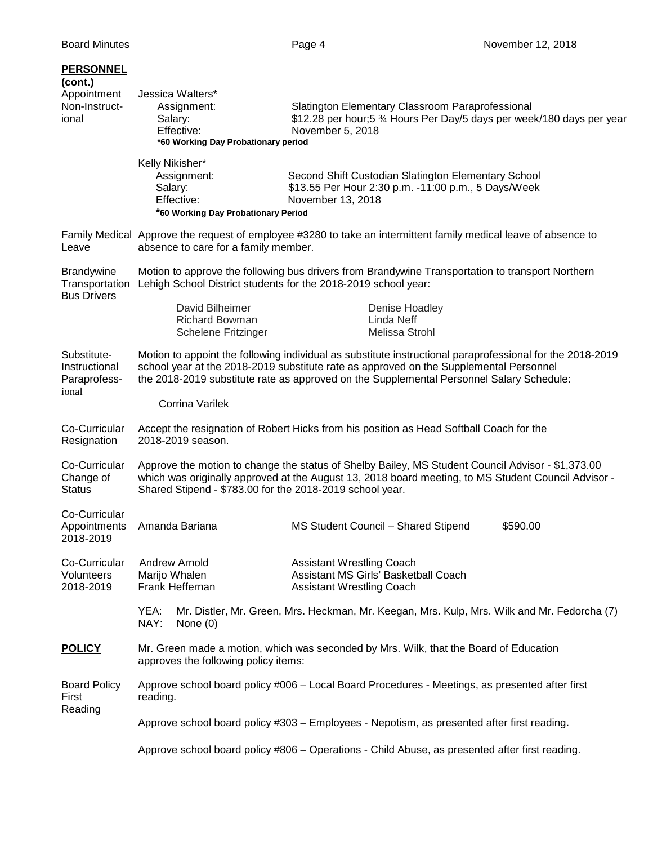| <b>PERSONNEL</b><br>(cont.)<br>Appointment<br>Non-Instruct-<br>ional | Jessica Walters*<br>Assignment:<br>Salary:<br>Effective:<br>*60 Working Day Probationary period                               | Slatington Elementary Classroom Paraprofessional<br>\$12.28 per hour;5 3⁄4 Hours Per Day/5 days per week/180 days per year<br>November 5, 2018                                                                                                                                                                    |          |  |
|----------------------------------------------------------------------|-------------------------------------------------------------------------------------------------------------------------------|-------------------------------------------------------------------------------------------------------------------------------------------------------------------------------------------------------------------------------------------------------------------------------------------------------------------|----------|--|
|                                                                      | Kelly Nikisher*<br>Assignment:<br>Salary:<br>Effective:<br>*60 Working Day Probationary Period                                | Second Shift Custodian Slatington Elementary School<br>\$13.55 Per Hour 2:30 p.m. -11:00 p.m., 5 Days/Week<br>November 13, 2018                                                                                                                                                                                   |          |  |
| Leave                                                                | absence to care for a family member.                                                                                          | Family Medical Approve the request of employee #3280 to take an intermittent family medical leave of absence to                                                                                                                                                                                                   |          |  |
| <b>Brandywine</b><br>Transportation<br><b>Bus Drivers</b>            | David Bilheimer<br><b>Richard Bowman</b>                                                                                      | Motion to approve the following bus drivers from Brandywine Transportation to transport Northern<br>Lehigh School District students for the 2018-2019 school year:<br>Denise Hoadley<br>Linda Neff                                                                                                                |          |  |
| Substitute-<br>Instructional<br>Paraprofess-<br>ional                | Schelene Fritzinger<br><b>Corrina Varilek</b>                                                                                 | Melissa Strohl<br>Motion to appoint the following individual as substitute instructional paraprofessional for the 2018-2019<br>school year at the 2018-2019 substitute rate as approved on the Supplemental Personnel<br>the 2018-2019 substitute rate as approved on the Supplemental Personnel Salary Schedule: |          |  |
| Co-Curricular<br>Resignation                                         | 2018-2019 season.                                                                                                             | Accept the resignation of Robert Hicks from his position as Head Softball Coach for the                                                                                                                                                                                                                           |          |  |
| Co-Curricular<br>Change of<br><b>Status</b>                          | Shared Stipend - \$783.00 for the 2018-2019 school year.                                                                      | Approve the motion to change the status of Shelby Bailey, MS Student Council Advisor - \$1,373.00<br>which was originally approved at the August 13, 2018 board meeting, to MS Student Council Advisor -                                                                                                          |          |  |
| Co-Curricular<br>Appointments<br>2018-2019                           | Amanda Bariana                                                                                                                | MS Student Council - Shared Stipend                                                                                                                                                                                                                                                                               | \$590.00 |  |
| Co-Curricular<br>Volunteers<br>2018-2019                             | <b>Andrew Arnold</b><br>Marijo Whalen<br>Frank Heffernan                                                                      | <b>Assistant Wrestling Coach</b><br>Assistant MS Girls' Basketball Coach<br><b>Assistant Wrestling Coach</b>                                                                                                                                                                                                      |          |  |
|                                                                      | YEA:<br>NAY:<br>None $(0)$                                                                                                    | Mr. Distler, Mr. Green, Mrs. Heckman, Mr. Keegan, Mrs. Kulp, Mrs. Wilk and Mr. Fedorcha (7)                                                                                                                                                                                                                       |          |  |
| <b>POLICY</b>                                                        | Mr. Green made a motion, which was seconded by Mrs. Wilk, that the Board of Education<br>approves the following policy items: |                                                                                                                                                                                                                                                                                                                   |          |  |
| <b>Board Policy</b><br>First<br>Reading                              | reading.                                                                                                                      | Approve school board policy #006 - Local Board Procedures - Meetings, as presented after first                                                                                                                                                                                                                    |          |  |
|                                                                      | Approve school board policy #303 - Employees - Nepotism, as presented after first reading.                                    |                                                                                                                                                                                                                                                                                                                   |          |  |
|                                                                      |                                                                                                                               | Approve school board policy #806 - Operations - Child Abuse, as presented after first reading.                                                                                                                                                                                                                    |          |  |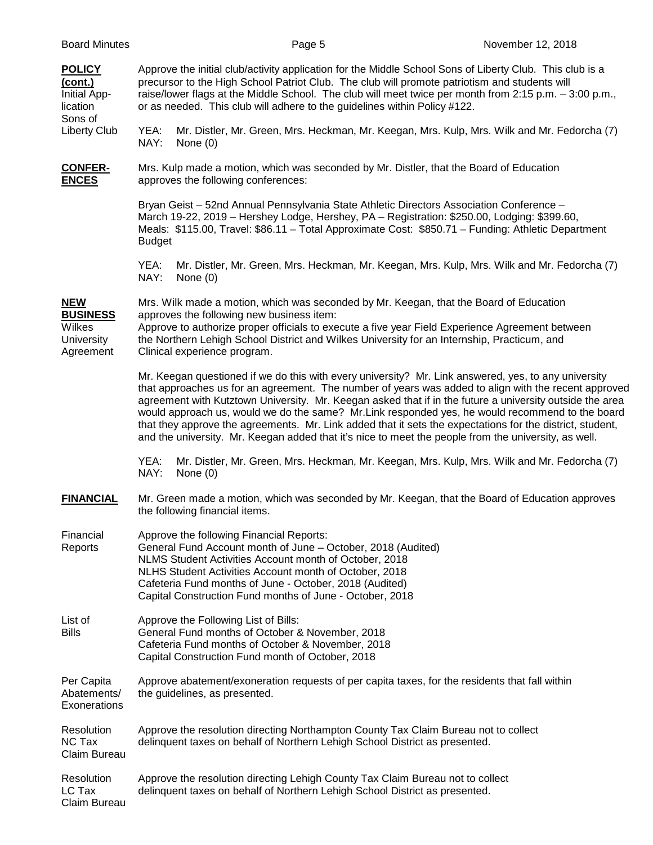| <b>Board Minutes</b>                                            |                                                                                                                                                                                                                                                                                                                                                                                                                                                                                                                                                                                                                                                  |                                                                           | Page 5 | November 12, 2018                                                                                                                                                                                                                                                                                                   |  |
|-----------------------------------------------------------------|--------------------------------------------------------------------------------------------------------------------------------------------------------------------------------------------------------------------------------------------------------------------------------------------------------------------------------------------------------------------------------------------------------------------------------------------------------------------------------------------------------------------------------------------------------------------------------------------------------------------------------------------------|---------------------------------------------------------------------------|--------|---------------------------------------------------------------------------------------------------------------------------------------------------------------------------------------------------------------------------------------------------------------------------------------------------------------------|--|
| <b>POLICY</b><br>(cont.)<br>Initial App-<br>lication<br>Sons of |                                                                                                                                                                                                                                                                                                                                                                                                                                                                                                                                                                                                                                                  | or as needed. This club will adhere to the guidelines within Policy #122. |        | Approve the initial club/activity application for the Middle School Sons of Liberty Club. This club is a<br>precursor to the High School Patriot Club. The club will promote patriotism and students will<br>raise/lower flags at the Middle School. The club will meet twice per month from 2:15 p.m. - 3:00 p.m., |  |
| Liberty Club                                                    | YEA:<br>NAY:                                                                                                                                                                                                                                                                                                                                                                                                                                                                                                                                                                                                                                     | None $(0)$                                                                |        | Mr. Distler, Mr. Green, Mrs. Heckman, Mr. Keegan, Mrs. Kulp, Mrs. Wilk and Mr. Fedorcha (7)                                                                                                                                                                                                                         |  |
| <b>CONFER-</b><br><b>ENCES</b>                                  |                                                                                                                                                                                                                                                                                                                                                                                                                                                                                                                                                                                                                                                  | approves the following conferences:                                       |        | Mrs. Kulp made a motion, which was seconded by Mr. Distler, that the Board of Education                                                                                                                                                                                                                             |  |
|                                                                 | <b>Budget</b>                                                                                                                                                                                                                                                                                                                                                                                                                                                                                                                                                                                                                                    |                                                                           |        | Bryan Geist - 52nd Annual Pennsylvania State Athletic Directors Association Conference -<br>March 19-22, 2019 - Hershey Lodge, Hershey, PA - Registration: \$250.00, Lodging: \$399.60,<br>Meals: \$115.00, Travel: \$86.11 - Total Approximate Cost: \$850.71 - Funding: Athletic Department                       |  |
|                                                                 | YEA:<br>NAY:                                                                                                                                                                                                                                                                                                                                                                                                                                                                                                                                                                                                                                     | None $(0)$                                                                |        | Mr. Distler, Mr. Green, Mrs. Heckman, Mr. Keegan, Mrs. Kulp, Mrs. Wilk and Mr. Fedorcha (7)                                                                                                                                                                                                                         |  |
| <b>NEW</b>                                                      |                                                                                                                                                                                                                                                                                                                                                                                                                                                                                                                                                                                                                                                  |                                                                           |        | Mrs. Wilk made a motion, which was seconded by Mr. Keegan, that the Board of Education                                                                                                                                                                                                                              |  |
| <b>BUSINESS</b><br>Wilkes<br><b>University</b><br>Agreement     |                                                                                                                                                                                                                                                                                                                                                                                                                                                                                                                                                                                                                                                  | approves the following new business item:<br>Clinical experience program. |        | Approve to authorize proper officials to execute a five year Field Experience Agreement between<br>the Northern Lehigh School District and Wilkes University for an Internship, Practicum, and                                                                                                                      |  |
|                                                                 | Mr. Keegan questioned if we do this with every university? Mr. Link answered, yes, to any university<br>that approaches us for an agreement. The number of years was added to align with the recent approved<br>agreement with Kutztown University. Mr. Keegan asked that if in the future a university outside the area<br>would approach us, would we do the same? Mr.Link responded yes, he would recommend to the board<br>that they approve the agreements. Mr. Link added that it sets the expectations for the district, student,<br>and the university. Mr. Keegan added that it's nice to meet the people from the university, as well. |                                                                           |        |                                                                                                                                                                                                                                                                                                                     |  |
|                                                                 | YEA:<br>NAY:                                                                                                                                                                                                                                                                                                                                                                                                                                                                                                                                                                                                                                     | None $(0)$                                                                |        | Mr. Distler, Mr. Green, Mrs. Heckman, Mr. Keegan, Mrs. Kulp, Mrs. Wilk and Mr. Fedorcha (7)                                                                                                                                                                                                                         |  |
| <b>FINANCIAL</b>                                                | Mr. Green made a motion, which was seconded by Mr. Keegan, that the Board of Education approves<br>the following financial items.                                                                                                                                                                                                                                                                                                                                                                                                                                                                                                                |                                                                           |        |                                                                                                                                                                                                                                                                                                                     |  |
| Financial<br>Reports                                            | Approve the following Financial Reports:<br>General Fund Account month of June - October, 2018 (Audited)<br>NLMS Student Activities Account month of October, 2018<br>NLHS Student Activities Account month of October, 2018<br>Cafeteria Fund months of June - October, 2018 (Audited)<br>Capital Construction Fund months of June - October, 2018                                                                                                                                                                                                                                                                                              |                                                                           |        |                                                                                                                                                                                                                                                                                                                     |  |
| List of<br><b>Bills</b>                                         | Approve the Following List of Bills:<br>General Fund months of October & November, 2018<br>Cafeteria Fund months of October & November, 2018<br>Capital Construction Fund month of October, 2018                                                                                                                                                                                                                                                                                                                                                                                                                                                 |                                                                           |        |                                                                                                                                                                                                                                                                                                                     |  |
| Per Capita<br>Abatements/<br>Exonerations                       | Approve abatement/exoneration requests of per capita taxes, for the residents that fall within<br>the guidelines, as presented.                                                                                                                                                                                                                                                                                                                                                                                                                                                                                                                  |                                                                           |        |                                                                                                                                                                                                                                                                                                                     |  |
| Resolution<br>NC Tax<br>Claim Bureau                            | Approve the resolution directing Northampton County Tax Claim Bureau not to collect<br>delinquent taxes on behalf of Northern Lehigh School District as presented.                                                                                                                                                                                                                                                                                                                                                                                                                                                                               |                                                                           |        |                                                                                                                                                                                                                                                                                                                     |  |
| Resolution<br>LC Tax<br>Claim Bureau                            | Approve the resolution directing Lehigh County Tax Claim Bureau not to collect<br>delinquent taxes on behalf of Northern Lehigh School District as presented.                                                                                                                                                                                                                                                                                                                                                                                                                                                                                    |                                                                           |        |                                                                                                                                                                                                                                                                                                                     |  |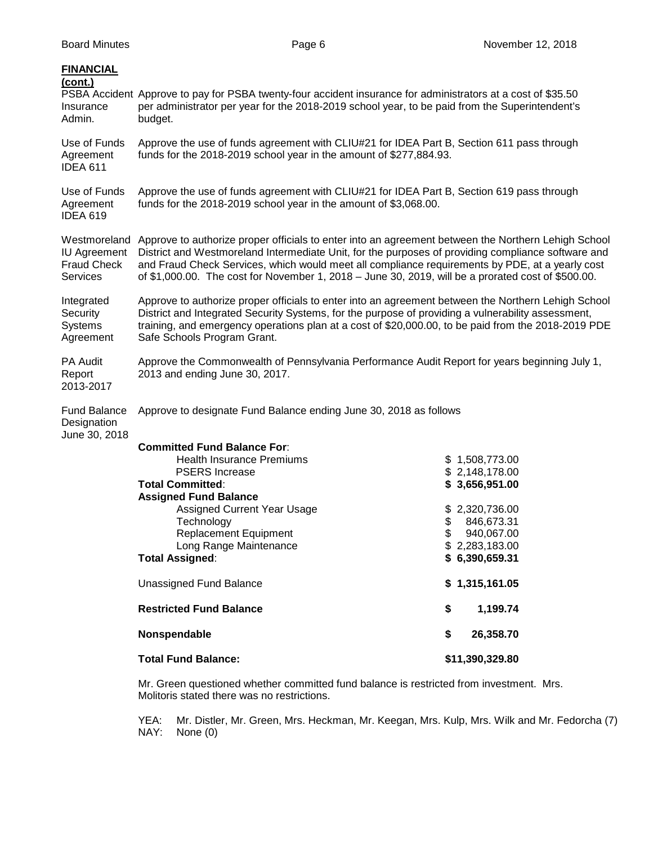| <b>FINANCIAL</b><br>(cont.)<br>Insurance<br>Admin.                           | PSBA Accident Approve to pay for PSBA twenty-four accident insurance for administrators at a cost of \$35.50<br>per administrator per year for the 2018-2019 school year, to be paid from the Superintendent's<br>budget.                                                                                                                                                                                          |                                                                                                                                                                                                                            |  |  |  |  |
|------------------------------------------------------------------------------|--------------------------------------------------------------------------------------------------------------------------------------------------------------------------------------------------------------------------------------------------------------------------------------------------------------------------------------------------------------------------------------------------------------------|----------------------------------------------------------------------------------------------------------------------------------------------------------------------------------------------------------------------------|--|--|--|--|
| Use of Funds<br>Agreement<br><b>IDEA 611</b>                                 | Approve the use of funds agreement with CLIU#21 for IDEA Part B, Section 611 pass through<br>funds for the 2018-2019 school year in the amount of \$277,884.93.                                                                                                                                                                                                                                                    |                                                                                                                                                                                                                            |  |  |  |  |
| Use of Funds<br>Agreement<br><b>IDEA 619</b>                                 | Approve the use of funds agreement with CLIU#21 for IDEA Part B, Section 619 pass through<br>funds for the 2018-2019 school year in the amount of \$3,068.00.                                                                                                                                                                                                                                                      |                                                                                                                                                                                                                            |  |  |  |  |
| Westmoreland<br><b>IU Agreement</b><br><b>Fraud Check</b><br><b>Services</b> | Approve to authorize proper officials to enter into an agreement between the Northern Lehigh School<br>District and Westmoreland Intermediate Unit, for the purposes of providing compliance software and<br>and Fraud Check Services, which would meet all compliance requirements by PDE, at a yearly cost<br>of \$1,000.00. The cost for November 1, 2018 - June 30, 2019, will be a prorated cost of \$500.00. |                                                                                                                                                                                                                            |  |  |  |  |
| Integrated<br>Security<br><b>Systems</b><br>Agreement                        | Approve to authorize proper officials to enter into an agreement between the Northern Lehigh School<br>District and Integrated Security Systems, for the purpose of providing a vulnerability assessment,<br>training, and emergency operations plan at a cost of \$20,000.00, to be paid from the 2018-2019 PDE<br>Safe Schools Program Grant.                                                                    |                                                                                                                                                                                                                            |  |  |  |  |
| PA Audit<br>Report<br>2013-2017                                              | Approve the Commonwealth of Pennsylvania Performance Audit Report for years beginning July 1,<br>2013 and ending June 30, 2017.                                                                                                                                                                                                                                                                                    |                                                                                                                                                                                                                            |  |  |  |  |
| <b>Fund Balance</b><br>Designation<br>June 30, 2018                          | Approve to designate Fund Balance ending June 30, 2018 as follows                                                                                                                                                                                                                                                                                                                                                  |                                                                                                                                                                                                                            |  |  |  |  |
|                                                                              | <b>Committed Fund Balance For:</b><br><b>Health Insurance Premiums</b><br><b>PSERS</b> Increase<br><b>Total Committed:</b><br><b>Assigned Fund Balance</b><br>Assigned Current Year Usage<br>Technology<br><b>Replacement Equipment</b><br>Long Range Maintenance<br><b>Total Assigned:</b><br><b>Unassigned Fund Balance</b><br><b>Restricted Fund Balance</b><br>Nonspendable<br><b>Total Fund Balance:</b>      | \$1,508,773.00<br>\$2,148,178.00<br>\$3,656,951.00<br>\$2,320,736.00<br>846,673.31<br>\$<br>\$<br>940,067.00<br>\$2,283,183.00<br>\$6,390,659.31<br>\$1,315,161.05<br>\$<br>1,199.74<br>\$<br>26,358.70<br>\$11,390,329.80 |  |  |  |  |
|                                                                              | Mr. Green questioned whether committed fund balance is restricted from investment. Mrs.<br>Molitoris stated there was no restrictions.                                                                                                                                                                                                                                                                             |                                                                                                                                                                                                                            |  |  |  |  |

 YEA: Mr. Distler, Mr. Green, Mrs. Heckman, Mr. Keegan, Mrs. Kulp, Mrs. Wilk and Mr. Fedorcha (7) NAY: None (0)